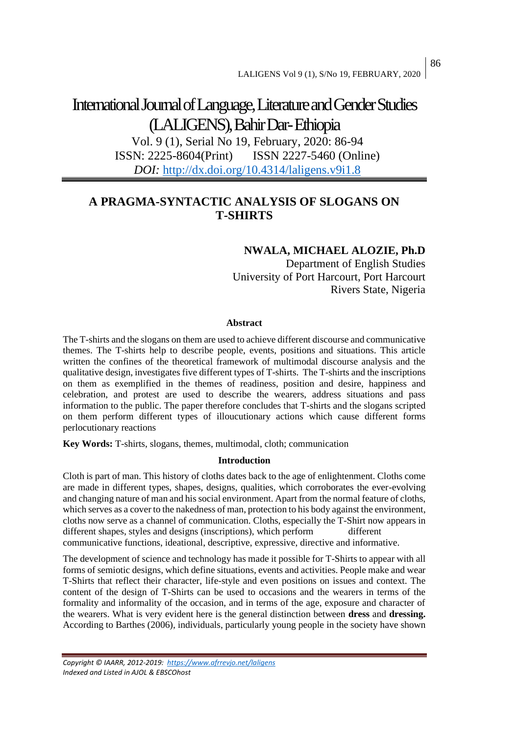# International Journal of Language, Literature and Gender Studies (LALIGENS), Bahir Dar-Ethiopia

Vol. 9 (1), Serial No 19, February, 2020: 86-94 ISSN: 2225-8604(Print) ISSN 2227-5460 (Online) *DOI:* <http://dx.doi.org/10.4314/laligens.v9i1.8>

## **A PRAGMA-SYNTACTIC ANALYSIS OF SLOGANS ON T-SHIRTS**

## **NWALA, MICHAEL ALOZIE, Ph.D**

Department of English Studies University of Port Harcourt, Port Harcourt Rivers State, Nigeria

#### **Abstract**

The T-shirts and the slogans on them are used to achieve different discourse and communicative themes. The T-shirts help to describe people, events, positions and situations. This article written the confines of the theoretical framework of multimodal discourse analysis and the qualitative design, investigates five different types of T-shirts. The T-shirts and the inscriptions on them as exemplified in the themes of readiness, position and desire, happiness and celebration, and protest are used to describe the wearers, address situations and pass information to the public. The paper therefore concludes that T-shirts and the slogans scripted on them perform different types of illoucutionary actions which cause different forms perlocutionary reactions

**Key Words:** T-shirts, slogans, themes, multimodal, cloth; communication

## **Introduction**

Cloth is part of man. This history of cloths dates back to the age of enlightenment. Cloths come are made in different types, shapes, designs, qualities, which corroborates the ever-evolving and changing nature of man and his social environment. Apart from the normal feature of cloths, which serves as a cover to the nakedness of man, protection to his body against the environment, cloths now serve as a channel of communication. Cloths, especially the T-Shirt now appears in different shapes, styles and designs (inscriptions), which perform different communicative functions, ideational, descriptive, expressive, directive and informative.

The development of science and technology has made it possible for T-Shirts to appear with all forms of semiotic designs, which define situations, events and activities. People make and wear T-Shirts that reflect their character, life-style and even positions on issues and context. The content of the design of T-Shirts can be used to occasions and the wearers in terms of the formality and informality of the occasion, and in terms of the age, exposure and character of the wearers. What is very evident here is the general distinction between **dress** and **dressing.**  According to Barthes (2006), individuals, particularly young people in the society have shown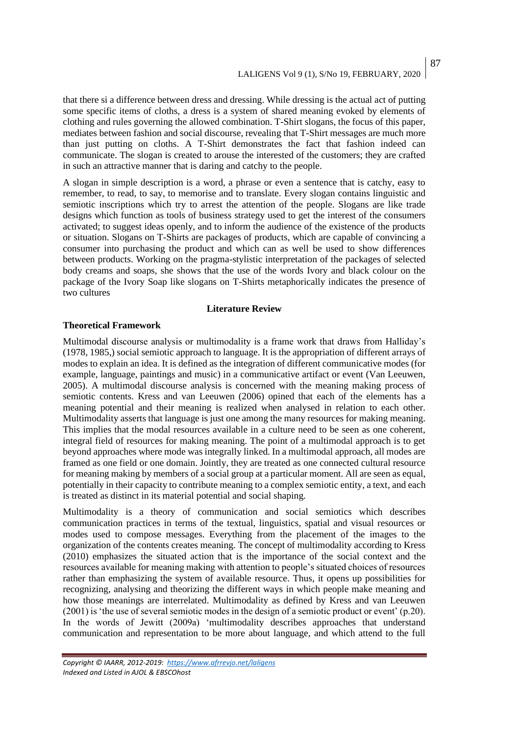that there si a difference between dress and dressing. While dressing is the actual act of putting some specific items of cloths, a dress is a system of shared meaning evoked by elements of clothing and rules governing the allowed combination. T-Shirt slogans, the focus of this paper, mediates between fashion and social discourse, revealing that T-Shirt messages are much more than just putting on cloths. A T-Shirt demonstrates the fact that fashion indeed can communicate. The slogan is created to arouse the interested of the customers; they are crafted in such an attractive manner that is daring and catchy to the people.

A slogan in simple description is a word, a phrase or even a sentence that is catchy, easy to remember, to read, to say, to memorise and to translate. Every slogan contains linguistic and semiotic inscriptions which try to arrest the attention of the people. Slogans are like trade designs which function as tools of business strategy used to get the interest of the consumers activated; to suggest ideas openly, and to inform the audience of the existence of the products or situation. Slogans on T-Shirts are packages of products, which are capable of convincing a consumer into purchasing the product and which can as well be used to show differences between products. Working on the pragma-stylistic interpretation of the packages of selected body creams and soaps, she shows that the use of the words Ivory and black colour on the package of the Ivory Soap like slogans on T-Shirts metaphorically indicates the presence of two cultures

## **Literature Review**

## **Theoretical Framework**

Multimodal discourse analysis or multimodality is a frame work that draws from Halliday's (1978, 1985,) social semiotic approach to language. It is the appropriation of different arrays of modes to explain an idea. It is defined as the integration of different communicative modes (for example, language, paintings and music) in a communicative artifact or event (Van Leeuwen, 2005). A multimodal discourse analysis is concerned with the meaning making process of semiotic contents. Kress and van Leeuwen (2006) opined that each of the elements has a meaning potential and their meaning is realized when analysed in relation to each other. Multimodality asserts that language is just one among the many resources for making meaning. This implies that the modal resources available in a culture need to be seen as one coherent, integral field of resources for making meaning. The point of a multimodal approach is to get beyond approaches where mode was integrally linked. In a multimodal approach, all modes are framed as one field or one domain. Jointly, they are treated as one connected cultural resource for meaning making by members of a social group at a particular moment. All are seen as equal, potentially in their capacity to contribute meaning to a complex semiotic entity, a text, and each is treated as distinct in its material potential and social shaping.

Multimodality is a theory of communication and social semiotics which describes communication practices in terms of the textual, linguistics, spatial and visual resources or modes used to compose messages. Everything from the placement of the images to the organization of the contents creates meaning. The concept of multimodality according to Kress (2010) emphasizes the situated action that is the importance of the social context and the resources available for meaning making with attention to people's situated choices of resources rather than emphasizing the system of available resource. Thus, it opens up possibilities for recognizing, analysing and theorizing the different ways in which people make meaning and how those meanings are interrelated. Multimodality as defined by Kress and van Leeuwen (2001) is 'the use of several semiotic modes in the design of a semiotic product or event' (p.20). In the words of Jewitt (2009a) 'multimodality describes approaches that understand communication and representation to be more about language, and which attend to the full

87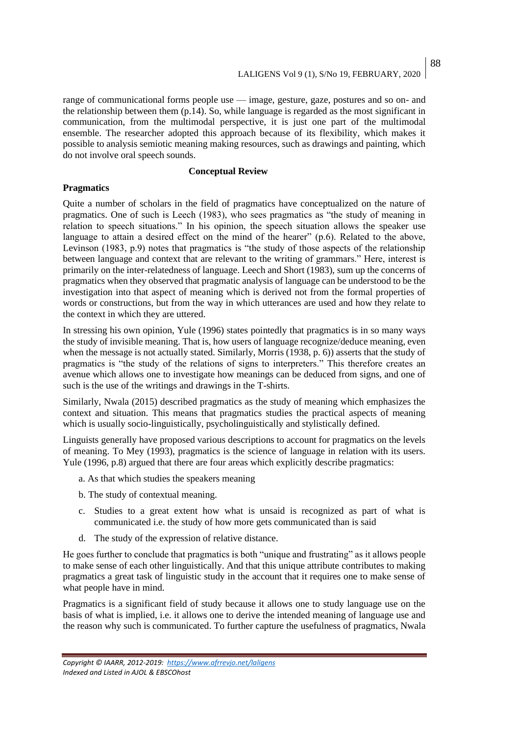range of communicational forms people use — image, gesture, gaze, postures and so on- and the relationship between them (p.14). So, while language is regarded as the most significant in communication, from the multimodal perspective, it is just one part of the multimodal ensemble. The researcher adopted this approach because of its flexibility, which makes it possible to analysis semiotic meaning making resources, such as drawings and painting, which do not involve oral speech sounds.

### **Conceptual Review**

## **Pragmatics**

Quite a number of scholars in the field of pragmatics have conceptualized on the nature of pragmatics. One of such is Leech (1983), who sees pragmatics as "the study of meaning in relation to speech situations." In his opinion, the speech situation allows the speaker use language to attain a desired effect on the mind of the hearer" (p.6). Related to the above, Levinson (1983, p.9) notes that pragmatics is "the study of those aspects of the relationship between language and context that are relevant to the writing of grammars." Here, interest is primarily on the inter-relatedness of language. Leech and Short (1983), sum up the concerns of pragmatics when they observed that pragmatic analysis of language can be understood to be the investigation into that aspect of meaning which is derived not from the formal properties of words or constructions, but from the way in which utterances are used and how they relate to the context in which they are uttered.

In stressing his own opinion, Yule (1996) states pointedly that pragmatics is in so many ways the study of invisible meaning. That is, how users of language recognize/deduce meaning, even when the message is not actually stated. Similarly, Morris (1938, p. 6)) asserts that the study of pragmatics is "the study of the relations of signs to interpreters." This therefore creates an avenue which allows one to investigate how meanings can be deduced from signs, and one of such is the use of the writings and drawings in the T-shirts.

Similarly, Nwala (2015) described pragmatics as the study of meaning which emphasizes the context and situation. This means that pragmatics studies the practical aspects of meaning which is usually socio-linguistically, psycholinguistically and stylistically defined.

Linguists generally have proposed various descriptions to account for pragmatics on the levels of meaning. To Mey (1993), pragmatics is the science of language in relation with its users. Yule (1996, p.8) argued that there are four areas which explicitly describe pragmatics:

- a. As that which studies the speakers meaning
- b. The study of contextual meaning.
- c. Studies to a great extent how what is unsaid is recognized as part of what is communicated i.e. the study of how more gets communicated than is said
- d. The study of the expression of relative distance.

He goes further to conclude that pragmatics is both "unique and frustrating" as it allows people to make sense of each other linguistically. And that this unique attribute contributes to making pragmatics a great task of linguistic study in the account that it requires one to make sense of what people have in mind.

Pragmatics is a significant field of study because it allows one to study language use on the basis of what is implied, i.e. it allows one to derive the intended meaning of language use and the reason why such is communicated. To further capture the usefulness of pragmatics, Nwala

*Copyright © IAARR, 2012-2019: <https://www.afrrevjo.net/laligens> Indexed and Listed in AJOL & EBSCOhost*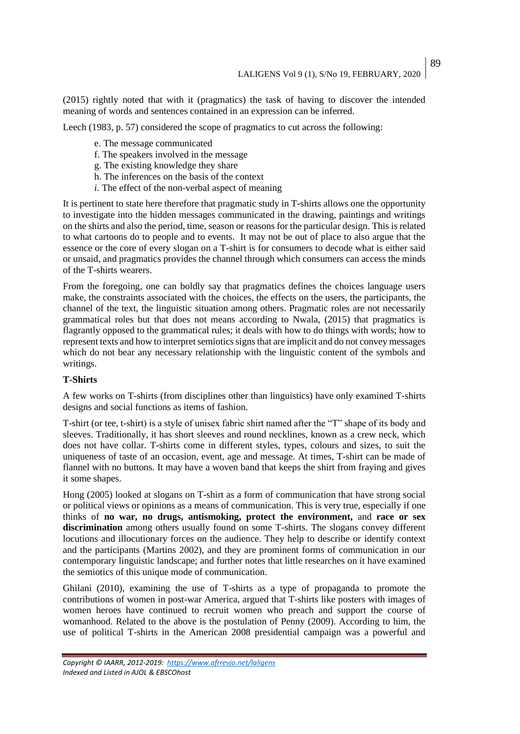89

(2015) rightly noted that with it (pragmatics) the task of having to discover the intended meaning of words and sentences contained in an expression can be inferred.

Leech (1983, p. 57) considered the scope of pragmatics to cut across the following:

- e. The message communicated
- f. The speakers involved in the message
- g. The existing knowledge they share
- h. The inferences on the basis of the context
- *i.* The effect of the non-verbal aspect of meaning

It is pertinent to state here therefore that pragmatic study in T-shirts allows one the opportunity to investigate into the hidden messages communicated in the drawing, paintings and writings on the shirts and also the period, time, season or reasons for the particular design. This is related to what cartoons do to people and to events. It may not be out of place to also argue that the essence or the core of every slogan on a T-shirt is for consumers to decode what is either said or unsaid, and pragmatics provides the channel through which consumers can access the minds of the T-shirts wearers.

From the foregoing, one can boldly say that pragmatics defines the choices language users make, the constraints associated with the choices, the effects on the users, the participants, the channel of the text, the linguistic situation among others. Pragmatic roles are not necessarily grammatical roles but that does not means according to Nwala, (2015) that pragmatics is flagrantly opposed to the grammatical rules; it deals with how to do things with words; how to represent texts and how to interpret semiotics signs that are implicit and do not convey messages which do not bear any necessary relationship with the linguistic content of the symbols and writings.

#### **T-Shirts**

A few works on T-shirts (from disciplines other than linguistics) have only examined T-shirts designs and social functions as items of fashion.

T-shirt (or tee, t-shirt) is a style of unisex fabric shirt named after the "T" shape of its body and sleeves. Traditionally, it has short sleeves and round necklines, known as a crew neck, which does not have collar. T-shirts come in different styles, types, colours and sizes, to suit the uniqueness of taste of an occasion, event, age and message. At times, T-shirt can be made of flannel with no buttons. It may have a woven band that keeps the shirt from fraying and gives it some shapes.

Hong (2005) looked at slogans on T-shirt as a form of communication that have strong social or political views or opinions as a means of communication. This is very true, especially if one thinks of **no war, no drugs, antismoking, protect the environment,** and **race or sex discrimination** among others usually found on some T-shirts. The slogans convey different locutions and illocutionary forces on the audience. They help to describe or identify context and the participants (Martins 2002), and they are prominent forms of communication in our contemporary linguistic landscape; and further notes that little researches on it have examined the semiotics of this unique mode of communication.

Ghilani (2010), examining the use of T-shirts as a type of propaganda to promote the contributions of women in post-war America, argued that T-shirts like posters with images of women heroes have continued to recruit women who preach and support the course of womanhood. Related to the above is the postulation of Penny (2009). According to him, the use of political T-shirts in the American 2008 presidential campaign was a powerful and

*Copyright © IAARR, 2012-2019: <https://www.afrrevjo.net/laligens> Indexed and Listed in AJOL & EBSCOhost*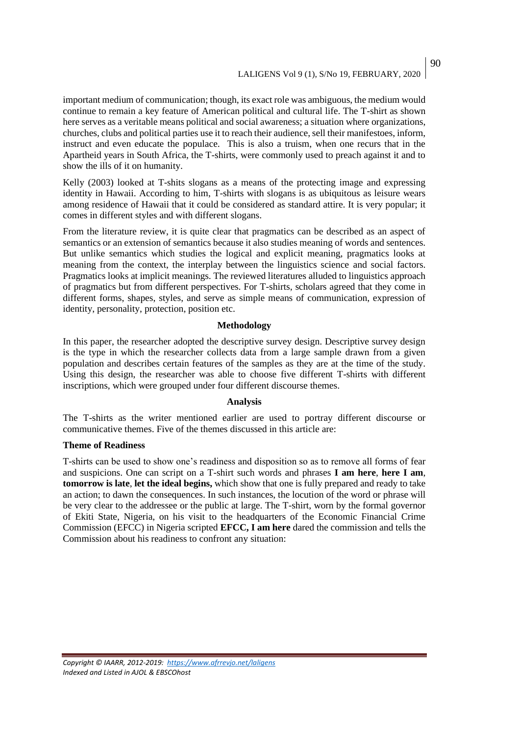important medium of communication; though, its exact role was ambiguous, the medium would continue to remain a key feature of American political and cultural life. The T-shirt as shown here serves as a veritable means political and social awareness; a situation where organizations, churches, clubs and political parties use it to reach their audience, sell their manifestoes, inform, instruct and even educate the populace. This is also a truism, when one recurs that in the Apartheid years in South Africa, the T-shirts, were commonly used to preach against it and to show the ills of it on humanity.

Kelly (2003) looked at T-shits slogans as a means of the protecting image and expressing identity in Hawaii. According to him, T-shirts with slogans is as ubiquitous as leisure wears among residence of Hawaii that it could be considered as standard attire. It is very popular; it comes in different styles and with different slogans.

From the literature review, it is quite clear that pragmatics can be described as an aspect of semantics or an extension of semantics because it also studies meaning of words and sentences. But unlike semantics which studies the logical and explicit meaning, pragmatics looks at meaning from the context, the interplay between the linguistics science and social factors. Pragmatics looks at implicit meanings. The reviewed literatures alluded to linguistics approach of pragmatics but from different perspectives. For T-shirts, scholars agreed that they come in different forms, shapes, styles, and serve as simple means of communication, expression of identity, personality, protection, position etc.

#### **Methodology**

In this paper, the researcher adopted the descriptive survey design. Descriptive survey design is the type in which the researcher collects data from a large sample drawn from a given population and describes certain features of the samples as they are at the time of the study. Using this design, the researcher was able to choose five different T-shirts with different inscriptions, which were grouped under four different discourse themes.

#### **Analysis**

The T-shirts as the writer mentioned earlier are used to portray different discourse or communicative themes. Five of the themes discussed in this article are:

#### **Theme of Readiness**

T-shirts can be used to show one's readiness and disposition so as to remove all forms of fear and suspicions. One can script on a T-shirt such words and phrases **I am here**, **here I am**, **tomorrow is late**, **let the ideal begins,** which show that one is fully prepared and ready to take an action; to dawn the consequences. In such instances, the locution of the word or phrase will be very clear to the addressee or the public at large. The T-shirt, worn by the formal governor of Ekiti State, Nigeria, on his visit to the headquarters of the Economic Financial Crime Commission (EFCC) in Nigeria scripted **EFCC, I am here** dared the commission and tells the Commission about his readiness to confront any situation:

90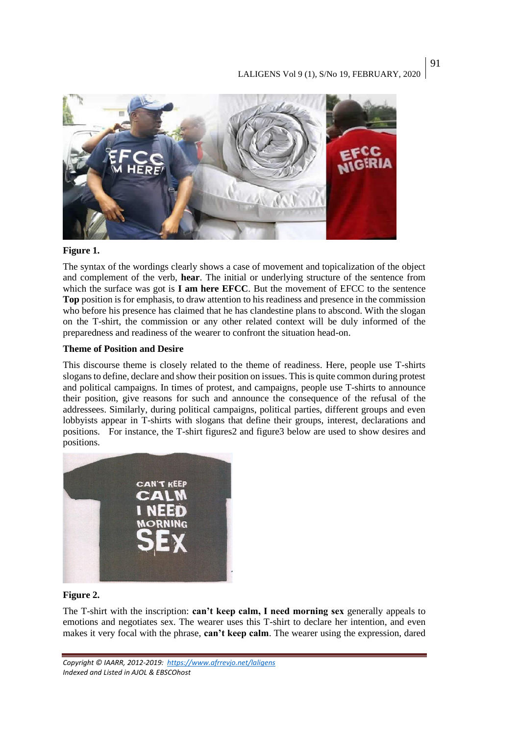

## **Figure 1.**

The syntax of the wordings clearly shows a case of movement and topicalization of the object and complement of the verb, **hear**. The initial or underlying structure of the sentence from which the surface was got is **I am here EFCC**. But the movement of EFCC to the sentence **Top** position is for emphasis, to draw attention to his readiness and presence in the commission who before his presence has claimed that he has clandestine plans to abscond. With the slogan on the T-shirt, the commission or any other related context will be duly informed of the preparedness and readiness of the wearer to confront the situation head-on.

## **Theme of Position and Desire**

This discourse theme is closely related to the theme of readiness. Here, people use T-shirts slogans to define, declare and show their position on issues. This is quite common during protest and political campaigns. In times of protest, and campaigns, people use T-shirts to announce their position, give reasons for such and announce the consequence of the refusal of the addressees. Similarly, during political campaigns, political parties, different groups and even lobbyists appear in T-shirts with slogans that define their groups, interest, declarations and positions. For instance, the T-shirt figures2 and figure3 below are used to show desires and positions.



## **Figure 2.**

The T-shirt with the inscription: **can't keep calm, I need morning sex** generally appeals to emotions and negotiates sex. The wearer uses this T-shirt to declare her intention, and even makes it very focal with the phrase, **can't keep calm**. The wearer using the expression, dared

*Copyright © IAARR, 2012-2019: <https://www.afrrevjo.net/laligens> Indexed and Listed in AJOL & EBSCOhost*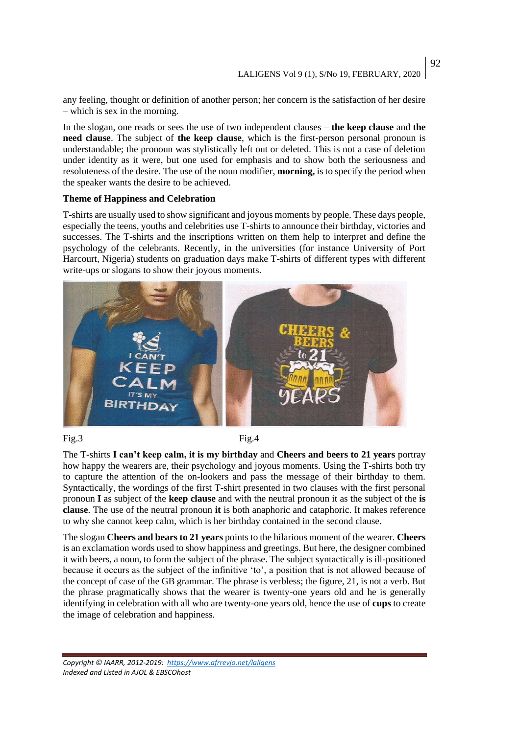92

any feeling, thought or definition of another person; her concern is the satisfaction of her desire – which is sex in the morning.

In the slogan, one reads or sees the use of two independent clauses – **the keep clause** and **the need clause**. The subject of **the keep clause**, which is the first-person personal pronoun is understandable; the pronoun was stylistically left out or deleted. This is not a case of deletion under identity as it were, but one used for emphasis and to show both the seriousness and resoluteness of the desire. The use of the noun modifier, **morning,** is to specify the period when the speaker wants the desire to be achieved.

## **Theme of Happiness and Celebration**

T-shirts are usually used to show significant and joyous moments by people. These days people, especially the teens, youths and celebrities use T-shirts to announce their birthday, victories and successes. The T-shirts and the inscriptions written on them help to interpret and define the psychology of the celebrants. Recently, in the universities (for instance University of Port Harcourt, Nigeria) students on graduation days make T-shirts of different types with different write-ups or slogans to show their joyous moments.



## Fig.3 Fig.4

The T-shirts **I can't keep calm, it is my birthday** and **Cheers and beers to 21 years** portray how happy the wearers are, their psychology and joyous moments. Using the T-shirts both try to capture the attention of the on-lookers and pass the message of their birthday to them. Syntactically, the wordings of the first T-shirt presented in two clauses with the first personal pronoun **I** as subject of the **keep clause** and with the neutral pronoun it as the subject of the **is clause**. The use of the neutral pronoun **it** is both anaphoric and cataphoric. It makes reference to why she cannot keep calm, which is her birthday contained in the second clause.

The slogan **Cheers and bears to 21 years** points to the hilarious moment of the wearer. **Cheers** is an exclamation words used to show happiness and greetings. But here, the designer combined it with beers, a noun, to form the subject of the phrase. The subject syntactically is ill-positioned because it occurs as the subject of the infinitive 'to', a position that is not allowed because of the concept of case of the GB grammar. The phrase is verbless; the figure, 21, is not a verb. But the phrase pragmatically shows that the wearer is twenty-one years old and he is generally identifying in celebration with all who are twenty-one years old, hence the use of **cups** to create the image of celebration and happiness.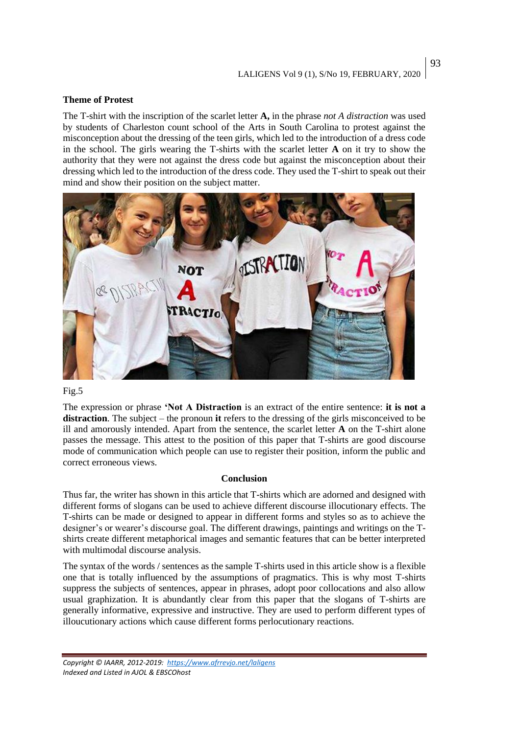## **Theme of Protest**

The T-shirt with the inscription of the scarlet letter **A,** in the phrase *not A distraction* was used by students of Charleston count school of the Arts in South Carolina to protest against the misconception about the dressing of the teen girls, which led to the introduction of a dress code in the school. The girls wearing the T-shirts with the scarlet letter **A** on it try to show the authority that they were not against the dress code but against the misconception about their dressing which led to the introduction of the dress code. They used the T-shirt to speak out their mind and show their position on the subject matter.



## Fig.5

The expression or phrase **'Not A Distraction** is an extract of the entire sentence: **it is not a distraction**. The subject – the pronoun **it** refers to the dressing of the girls misconceived to be ill and amorously intended. Apart from the sentence, the scarlet letter **A** on the T-shirt alone passes the message. This attest to the position of this paper that T-shirts are good discourse mode of communication which people can use to register their position, inform the public and correct erroneous views.

#### **Conclusion**

Thus far, the writer has shown in this article that T-shirts which are adorned and designed with different forms of slogans can be used to achieve different discourse illocutionary effects. The T-shirts can be made or designed to appear in different forms and styles so as to achieve the designer's or wearer's discourse goal. The different drawings, paintings and writings on the Tshirts create different metaphorical images and semantic features that can be better interpreted with multimodal discourse analysis.

The syntax of the words / sentences as the sample T-shirts used in this article show is a flexible one that is totally influenced by the assumptions of pragmatics. This is why most T-shirts suppress the subjects of sentences, appear in phrases, adopt poor collocations and also allow usual graphization. It is abundantly clear from this paper that the slogans of T-shirts are generally informative, expressive and instructive. They are used to perform different types of illoucutionary actions which cause different forms perlocutionary reactions.